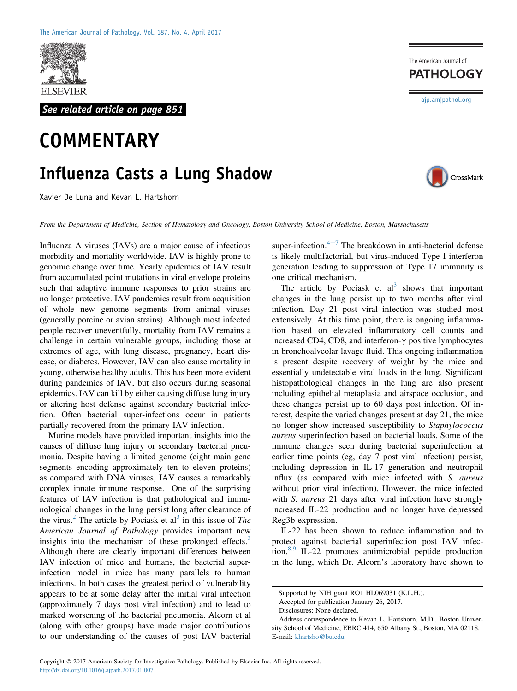

See related article on page 851

## **COMMENTARY**

## Influenza Casts a Lung Shadow

Xavier De Luna and Kevan L. Hartshorn

From the Department of Medicine, Section of Hematology and Oncology, Boston University School of Medicine, Boston, Massachusetts

Influenza A viruses (IAVs) are a major cause of infectious morbidity and mortality worldwide. IAV is highly prone to genomic change over time. Yearly epidemics of IAV result from accumulated point mutations in viral envelope proteins such that adaptive immune responses to prior strains are no longer protective. IAV pandemics result from acquisition of whole new genome segments from animal viruses (generally porcine or avian strains). Although most infected people recover uneventfully, mortality from IAV remains a challenge in certain vulnerable groups, including those at extremes of age, with lung disease, pregnancy, heart disease, or diabetes. However, IAV can also cause mortality in young, otherwise healthy adults. This has been more evident during pandemics of IAV, but also occurs during seasonal epidemics. IAV can kill by either causing diffuse lung injury or altering host defense against secondary bacterial infection. Often bacterial super-infections occur in patients partially recovered from the primary IAV infection.

Murine models have provided important insights into the causes of diffuse lung injury or secondary bacterial pneumonia. Despite having a limited genome (eight main gene segments encoding approximately ten to eleven proteins) as compared with DNA viruses, IAV causes a remarkably complex innate immune response.<sup>[1](#page-1-0)</sup> One of the surprising features of IAV infection is that pathological and immunological changes in the lung persist long after clearance of the virus.<sup>[2](#page-1-1)</sup> The article by Pociask et al<sup>[3](#page-1-2)</sup> in this issue of *The* American Journal of Pathology provides important new insights into the mechanism of these prolonged effects. $3$ Although there are clearly important differences between IAV infection of mice and humans, the bacterial superinfection model in mice has many parallels to human infections. In both cases the greatest period of vulnerability appears to be at some delay after the initial viral infection (approximately 7 days post viral infection) and to lead to marked worsening of the bacterial pneumonia. Alcorn et al (along with other groups) have made major contributions to our understanding of the causes of post IAV bacterial

super-infection. $4\pi$  $4\pi$ <sup>-[7](#page-1-3)</sup> The breakdown in anti-bacterial defense is likely multifactorial, but virus-induced Type I interferon generation leading to suppression of Type 17 immunity is one critical mechanism.

The article by Pociask et  $al<sup>3</sup>$  $al<sup>3</sup>$  $al<sup>3</sup>$  shows that important changes in the lung persist up to two months after viral infection. Day 21 post viral infection was studied most extensively. At this time point, there is ongoing inflammation based on elevated inflammatory cell counts and increased CD4, CD8, and interferon- $\gamma$  positive lymphocytes in bronchoalveolar lavage fluid. This ongoing inflammation is present despite recovery of weight by the mice and essentially undetectable viral loads in the lung. Significant histopathological changes in the lung are also present including epithelial metaplasia and airspace occlusion, and these changes persist up to 60 days post infection. Of interest, despite the varied changes present at day 21, the mice no longer show increased susceptibility to Staphylococcus aureus superinfection based on bacterial loads. Some of the immune changes seen during bacterial superinfection at earlier time points (eg, day 7 post viral infection) persist, including depression in IL-17 generation and neutrophil influx (as compared with mice infected with S. aureus without prior viral infection). However, the mice infected with *S. aureus* 21 days after viral infection have strongly increased IL-22 production and no longer have depressed Reg3b expression.

IL-22 has been shown to reduce inflammation and to protect against bacterial superinfection post IAV infec-tion.<sup>[8,9](#page-1-4)</sup> IL-22 promotes antimicrobial peptide production in the lung, which Dr. Alcorn's laboratory have shown to

**PATHOLOGY** 

The American Journal of

[ajp.amjpathol.org](http://ajp.amjpathol.org)

CrossMark

Supported by NIH grant RO1 HL069031 (K.L.H.).

Accepted for publication January 26, 2017.

Disclosures: None declared.

Address correspondence to Kevan L. Hartshorn, M.D., Boston University School of Medicine, EBRC 414, 650 Albany St., Boston, MA 02118. E-mail: [khartsho@bu.edu](mailto:khartsho@bu.edu)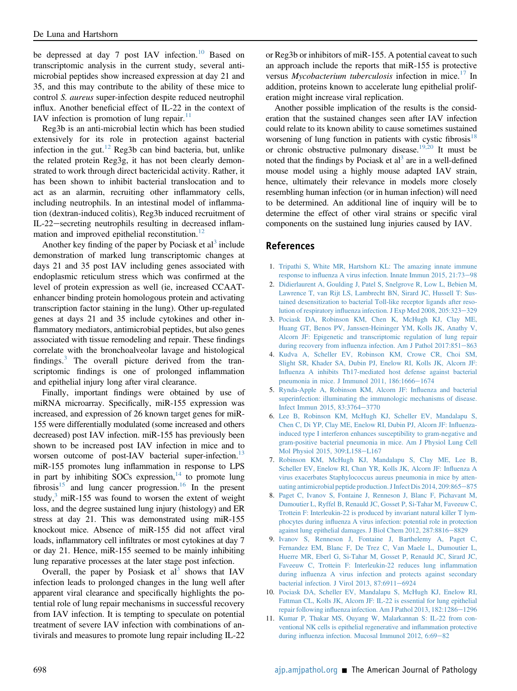be depressed at day 7 post IAV infection.<sup>[10](#page-1-5)</sup> Based on transcriptomic analysis in the current study, several antimicrobial peptides show increased expression at day 21 and 35, and this may contribute to the ability of these mice to control S. aureus super-infection despite reduced neutrophil influx. Another beneficial effect of IL-22 in the context of IAV infection is promotion of lung repair. $\frac{11}{11}$  $\frac{11}{11}$  $\frac{11}{11}$ 

Reg3b is an anti-microbial lectin which has been studied extensively for its role in protection against bacterial infection in the gut.<sup>12</sup> Reg3b can bind bacteria, but, unlike the related protein Reg3g, it has not been clearly demonstrated to work through direct bactericidal activity. Rather, it has been shown to inhibit bacterial translocation and to act as an alarmin, recruiting other inflammatory cells, including neutrophils. In an intestinal model of inflammation (dextran-induced colitis), Reg3b induced recruitment of IL-22–secreting neutrophils resulting in decreased inflam-mation and improved epithelial reconstitution.<sup>[12](#page-2-0)</sup>

Another key finding of the paper by Pociask et  $al<sup>3</sup>$  $al<sup>3</sup>$  $al<sup>3</sup>$  include demonstration of marked lung transcriptomic changes at days 21 and 35 post IAV including genes associated with endoplasmic reticulum stress which was confirmed at the level of protein expression as well (ie, increased CCAATenhancer binding protein homologous protein and activating transcription factor staining in the lung). Other up-regulated genes at days 21 and 35 include cytokines and other inflammatory mediators, antimicrobial peptides, but also genes associated with tissue remodeling and repair. These findings correlate with the bronchoalveolar lavage and histological findings. $3$  The overall picture derived from the transcriptomic findings is one of prolonged inflammation and epithelial injury long after viral clearance.

Finally, important findings were obtained by use of miRNA microarray. Specifically, miR-155 expression was increased, and expression of 26 known target genes for miR-155 were differentially modulated (some increased and others decreased) post IAV infection. miR-155 has previously been shown to be increased post IAV infection in mice and to worsen outcome of post-IAV bacterial super-infection.<sup>[13](#page-2-1)</sup> miR-155 promotes lung inflammation in response to LPS in part by inhibiting SOCs expression, $14$  to promote lung fibrosis $15$  and lung cancer progression.<sup>16</sup> In the present study, $3 \text{ mi}$ R-155 was found to worsen the extent of weight loss, and the degree sustained lung injury (histology) and ER stress at day 21. This was demonstrated using miR-155 knockout mice. Absence of miR-155 did not affect viral loads, inflammatory cell infiltrates or most cytokines at day 7 or day 21. Hence, miR-155 seemed to be mainly inhibiting lung reparative processes at the later stage post infection.

Overall, the paper by Posiask et  $al<sup>3</sup>$  $al<sup>3</sup>$  $al<sup>3</sup>$  shows that IAV infection leads to prolonged changes in the lung well after apparent viral clearance and specifically highlights the potential role of lung repair mechanisms in successful recovery from IAV infection. It is tempting to speculate on potential treatment of severe IAV infection with combinations of antivirals and measures to promote lung repair including IL-22

or Reg3b or inhibitors of miR-155. A potential caveat to such an approach include the reports that miR-155 is protective versus *Mycobacterium tuberculosis* infection in mice.<sup>[17](#page-2-5)</sup> In addition, proteins known to accelerate lung epithelial proliferation might increase viral replication.

Another possible implication of the results is the consideration that the sustained changes seen after IAV infection could relate to its known ability to cause sometimes sustained worsening of lung function in patients with cystic fibrosis<sup>[18](#page-2-6)</sup> or chronic obstructive pulmonary disease.<sup>19,20</sup> It must be noted that the findings by Pociask et  $al<sup>3</sup>$  are in a well-defined mouse model using a highly mouse adapted IAV strain, hence, ultimately their relevance in models more closely resembling human infection (or in human infection) will need to be determined. An additional line of inquiry will be to determine the effect of other viral strains or specific viral components on the sustained lung injuries caused by IAV.

## References

- <span id="page-1-0"></span>1. [Tripathi S, White MR, Hartshorn KL: The amazing innate immune](http://refhub.elsevier.com/S0002-9440(17)30216-X/sref1) response to infl[uenza A virus infection. Innate Immun 2015, 21:73](http://refhub.elsevier.com/S0002-9440(17)30216-X/sref1)-[98](http://refhub.elsevier.com/S0002-9440(17)30216-X/sref1)
- <span id="page-1-1"></span>2. [Didierlaurent A, Goulding J, Patel S, Snelgrove R, Low L, Bebien M,](http://refhub.elsevier.com/S0002-9440(17)30216-X/sref2) [Lawrence T, van Rijt LS, Lambrecht BN, Sirard JC, Hussell T: Sus](http://refhub.elsevier.com/S0002-9440(17)30216-X/sref2)[tained desensitization to bacterial Toll-like receptor ligands after reso](http://refhub.elsevier.com/S0002-9440(17)30216-X/sref2)lution of respiratory infl[uenza infection. J Exp Med 2008, 205:323](http://refhub.elsevier.com/S0002-9440(17)30216-X/sref2)-[329](http://refhub.elsevier.com/S0002-9440(17)30216-X/sref2)
- <span id="page-1-2"></span>3. [Pociask DA, Robinson KM, Chen K, McHugh KJ, Clay ME,](http://refhub.elsevier.com/S0002-9440(17)30216-X/sref3) [Huang GT, Benos PV, Janssen-Heininger YM, Kolls JK, Anathy V,](http://refhub.elsevier.com/S0002-9440(17)30216-X/sref3) [Alcorn JF: Epigenetic and transcriptomic regulation of lung repair](http://refhub.elsevier.com/S0002-9440(17)30216-X/sref3) during recovery from influenza infection. Am J Pathol  $2017:851-863$  $2017:851-863$
- <span id="page-1-3"></span>4. [Kudva A, Scheller EV, Robinson KM, Crowe CR, Choi SM,](http://refhub.elsevier.com/S0002-9440(17)30216-X/sref4) [Slight SR, Khader SA, Dubin PJ, Enelow RI, Kolls JK, Alcorn JF:](http://refhub.elsevier.com/S0002-9440(17)30216-X/sref4) Infl[uenza A inhibits Th17-mediated host defense against bacterial](http://refhub.elsevier.com/S0002-9440(17)30216-X/sref4) [pneumonia in mice. J Immunol 2011, 186:1666](http://refhub.elsevier.com/S0002-9440(17)30216-X/sref4)-[1674](http://refhub.elsevier.com/S0002-9440(17)30216-X/sref4)
- 5. [Rynda-Apple A, Robinson KM, Alcorn JF: In](http://refhub.elsevier.com/S0002-9440(17)30216-X/sref5)fluenza and bacterial [superinfection: illuminating the immunologic mechanisms of disease.](http://refhub.elsevier.com/S0002-9440(17)30216-X/sref5) [Infect Immun 2015, 83:3764](http://refhub.elsevier.com/S0002-9440(17)30216-X/sref5)-[3770](http://refhub.elsevier.com/S0002-9440(17)30216-X/sref5)
- 6. [Lee B, Robinson KM, McHugh KJ, Scheller EV, Mandalapu S,](http://refhub.elsevier.com/S0002-9440(17)30216-X/sref6) [Chen C, Di YP, Clay ME, Enelow RI, Dubin PJ, Alcorn JF: In](http://refhub.elsevier.com/S0002-9440(17)30216-X/sref6)fluenza[induced type I interferon enhances susceptibility to gram-negative and](http://refhub.elsevier.com/S0002-9440(17)30216-X/sref6) [gram-positive bacterial pneumonia in mice. Am J Physiol Lung Cell](http://refhub.elsevier.com/S0002-9440(17)30216-X/sref6) [Mol Physiol 2015, 309:L158](http://refhub.elsevier.com/S0002-9440(17)30216-X/sref6)-[L167](http://refhub.elsevier.com/S0002-9440(17)30216-X/sref6)
- 7. [Robinson KM, McHugh KJ, Mandalapu S, Clay ME, Lee B,](http://refhub.elsevier.com/S0002-9440(17)30216-X/sref7) [Scheller EV, Enelow RI, Chan YR, Kolls JK, Alcorn JF: In](http://refhub.elsevier.com/S0002-9440(17)30216-X/sref7)fluenza A [virus exacerbates Staphylococcus aureus pneumonia in mice by atten](http://refhub.elsevier.com/S0002-9440(17)30216-X/sref7)[uating antimicrobial peptide production. J Infect Dis 2014, 209:865](http://refhub.elsevier.com/S0002-9440(17)30216-X/sref7)-[875](http://refhub.elsevier.com/S0002-9440(17)30216-X/sref7)
- <span id="page-1-4"></span>8. [Paget C, Ivanov S, Fontaine J, Renneson J, Blanc F, Pichavant M,](http://refhub.elsevier.com/S0002-9440(17)30216-X/sref8) [Dumoutier L, Ryffel B, Renauld JC, Gosset P, Si-Tahar M, Faveeuw C,](http://refhub.elsevier.com/S0002-9440(17)30216-X/sref8) [Trottein F: Interleukin-22 is produced by invariant natural killer T lym](http://refhub.elsevier.com/S0002-9440(17)30216-X/sref8)phocytes during infl[uenza A virus infection: potential role in protection](http://refhub.elsevier.com/S0002-9440(17)30216-X/sref8) [against lung epithelial damages. J Biol Chem 2012, 287:8816](http://refhub.elsevier.com/S0002-9440(17)30216-X/sref8)-[8829](http://refhub.elsevier.com/S0002-9440(17)30216-X/sref8)
- 9. [Ivanov S, Renneson J, Fontaine J, Barthelemy A, Paget C,](http://refhub.elsevier.com/S0002-9440(17)30216-X/sref9) [Fernandez EM, Blanc F, De Trez C, Van Maele L, Dumoutier L,](http://refhub.elsevier.com/S0002-9440(17)30216-X/sref9) [Huerre MR, Eberl G, Si-Tahar M, Gosset P, Renauld JC, Sirard JC,](http://refhub.elsevier.com/S0002-9440(17)30216-X/sref9) [Faveeuw C, Trottein F: Interleukin-22 reduces lung in](http://refhub.elsevier.com/S0002-9440(17)30216-X/sref9)flammation during infl[uenza A virus infection and protects against secondary](http://refhub.elsevier.com/S0002-9440(17)30216-X/sref9) [bacterial infection. J Virol 2013, 87:6911](http://refhub.elsevier.com/S0002-9440(17)30216-X/sref9)-[6924](http://refhub.elsevier.com/S0002-9440(17)30216-X/sref9)
- <span id="page-1-5"></span>10. [Pociask DA, Scheller EV, Mandalapu S, McHugh KJ, Enelow RI,](http://refhub.elsevier.com/S0002-9440(17)30216-X/sref10) [Fattman CL, Kolls JK, Alcorn JF: IL-22 is essential for lung epithelial](http://refhub.elsevier.com/S0002-9440(17)30216-X/sref10) repair following infl[uenza infection. Am J Pathol 2013, 182:1286](http://refhub.elsevier.com/S0002-9440(17)30216-X/sref10)-[1296](http://refhub.elsevier.com/S0002-9440(17)30216-X/sref10)
- <span id="page-1-6"></span>11. [Kumar P, Thakar MS, Ouyang W, Malarkannan S: IL-22 from con](http://refhub.elsevier.com/S0002-9440(17)30216-X/sref11)[ventional NK cells is epithelial regenerative and in](http://refhub.elsevier.com/S0002-9440(17)30216-X/sref11)flammation protective during influenza infection. Mucosal Immunol 2012,  $6:69-82$  $6:69-82$